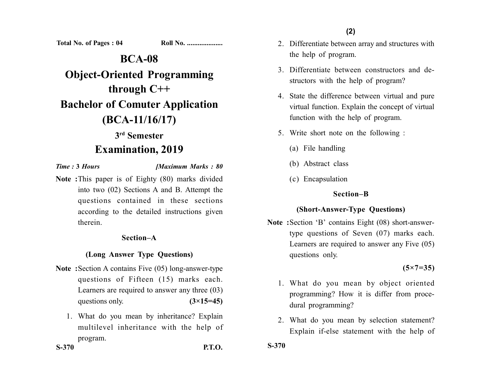**Total No. of Pages : 04 Roll No. ...................** 

**BCA-08 Object-Oriented Programming through C++ Bachelor of Comuter Application (BCA-11/16/17) 3rd Semester**

# **Examination, 2019**

*Time :* **3** *Hours [Maximum Marks : 80*

**Note :**This paper is of Eighty (80) marks divided into two (02) Sections A and B. Attempt the questions contained in these sections according to the detailed instructions given therein.

#### **Section–A**

## **(Long Answer Type Questions)**

- **Note :**Section A contains Five (05) long-answer-type questions of Fifteen (15) marks each. Learners are required to answer any three (03) questions only.  $(3\times15=45)$ 
	- 1. What do you mean by inheritance? Explain multilevel inheritance with the help of program.

**(2)**

- 2. Differentiate between array and structures with the help of program.
- 3. Differentiate between constructors and destructors with the help of program?
- 4. State the difference between virtual and pure virtual function. Explain the concept of virtual function with the help of program.
- 5. Write short note on the following :
	- (a) File handling
	- (b) Abstract class
	- (c) Encapsulation

## **Section–B**

## **(Short-Answer-Type Questions)**

**Note :**Section 'B' contains Eight (08) short-answertype questions of Seven (07) marks each. Learners are required to answer any Five (05) questions only.

**(5×7=35)**

- 1. What do you mean by object oriented programming? How it is differ from procedural programming?
- 2. What do you mean by selection statement? Explain if-else statement with the help of

**S-370**